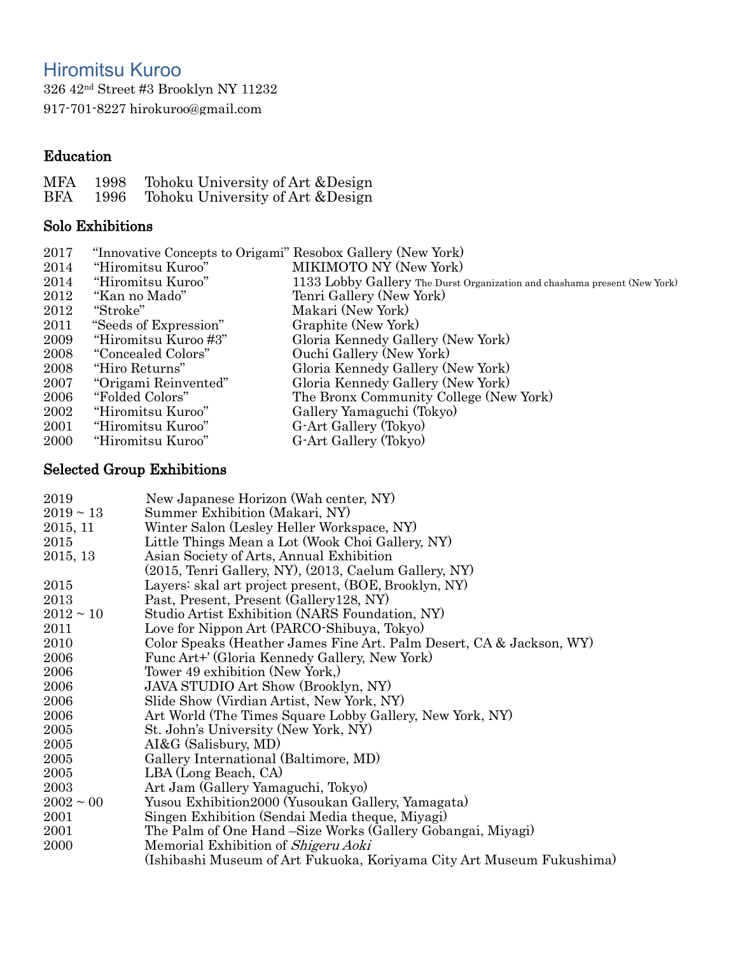# Hiromitsu Kuroo

 42nd Street #3 Brooklyn NY 11232 917-701-8227 [hirokuroo@gmail.com](mailto:hirokuroo@gmail.com)

# Education

| MFA | 1998 | Tohoku University of Art & Design |
|-----|------|-----------------------------------|
| BFA | 1996 | Tohoku University of Art & Design |

## Solo Exhibitions

| 2017 | "Innovative Concepts to Origami" Resobox Gallery (New York) |                                                                           |
|------|-------------------------------------------------------------|---------------------------------------------------------------------------|
| 2014 | "Hiromitsu Kuroo"                                           | MIKIMOTO NY (New York)                                                    |
| 2014 | "Hiromitsu Kuroo"                                           | 1133 Lobby Gallery The Durst Organization and chashama present (New York) |
| 2012 | "Kan no Mado"                                               | Tenri Gallery (New York)                                                  |
| 2012 | "Stroke"                                                    | Makari (New York)                                                         |
| 2011 | "Seeds of Expression"                                       | Graphite (New York)                                                       |
| 2009 | "Hiromitsu Kuroo#3"                                         | Gloria Kennedy Gallery (New York)                                         |
| 2008 | "Concealed Colors"                                          | Ouchi Gallery (New York)                                                  |
| 2008 | "Hiro Returns"                                              | Gloria Kennedy Gallery (New York)                                         |
| 2007 | "Origami Reinvented"                                        | Gloria Kennedy Gallery (New York)                                         |
| 2006 | "Folded Colors"                                             | The Bronx Community College (New York)                                    |
| 2002 | "Hiromitsu Kuroo"                                           | Gallery Yamaguchi (Tokyo)                                                 |
| 2001 | "Hiromitsu Kuroo"                                           | G-Art Gallery (Tokyo)                                                     |
| 2000 | "Hiromitsu Kuroo"                                           | G-Art Gallery (Tokyo)                                                     |

### Selected Group Exhibitions

| 2019           | New Japanese Horizon (Wah center, NY)                                 |
|----------------|-----------------------------------------------------------------------|
| $2019 \sim 13$ | Summer Exhibition (Makari, NY)                                        |
| 2015, 11       | Winter Salon (Lesley Heller Workspace, NY)                            |
| 2015           | Little Things Mean a Lot (Wook Choi Gallery, NY)                      |
| 2015, 13       | Asian Society of Arts, Annual Exhibition                              |
|                | $(2015,$ Tenri Gallery, NY), $(2013,$ Caelum Gallery, NY)             |
| 2015           | Layers: skal art project present, (BOE, Brooklyn, NY)                 |
| 2013           | Past, Present, Present (Gallery 128, NY)                              |
| $2012 \sim 10$ | Studio Artist Exhibition (NARS Foundation, NY)                        |
| 2011           | Love for Nippon Art (PARCO-Shibuya, Tokyo)                            |
| 2010           | Color Speaks (Heather James Fine Art. Palm Desert, CA & Jackson, WY)  |
| 2006           | Func Art+' (Gloria Kennedy Gallery, New York)                         |
| 2006           | Tower 49 exhibition (New York,)                                       |
| 2006           | <b>JAVA STUDIO Art Show (Brooklyn, NY)</b>                            |
| 2006           | Slide Show (Virdian Artist, New York, NY)                             |
| 2006           | Art World (The Times Square Lobby Gallery, New York, NY)              |
| 2005           | St. John's University (New York, NY)                                  |
| 2005           | AI&G (Salisbury, MD)                                                  |
| 2005           | Gallery International (Baltimore, MD)                                 |
| 2005           | LBA (Long Beach, CA)                                                  |
| 2003           | Art Jam (Gallery Yamaguchi, Tokyo)                                    |
| $2002 \sim 00$ | Yusou Exhibition2000 (Yusoukan Gallery, Yamagata)                     |
| 2001           | Singen Exhibition (Sendai Media theque, Miyagi)                       |
| 2001           | The Palm of One Hand – Size Works (Gallery Gobangai, Miyagi)          |
| 2000           | Memorial Exhibition of Shigeru Aoki                                   |
|                | (Ishibashi Museum of Art Fukuoka, Koriyama City Art Museum Fukushima) |